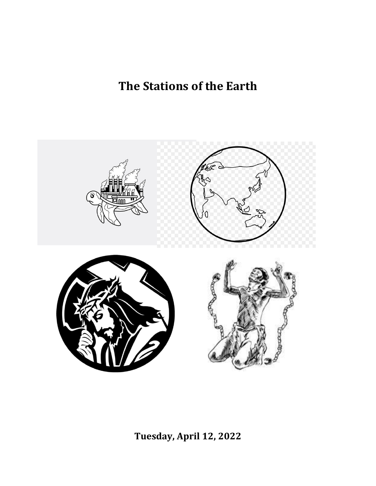# **The Stations of the Earth**



**Tuesday, April 12, 2022**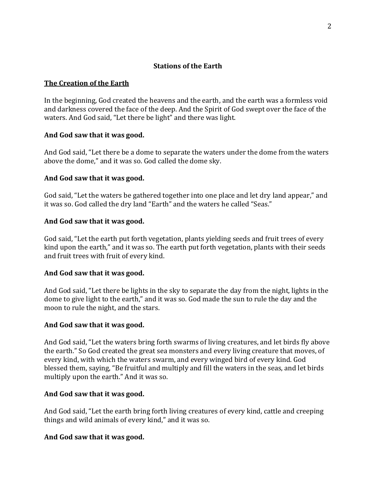# **Stations of the Earth**

# **The Creation of the Earth**

In the beginning, God created the heavens and the earth, and the earth was a formless void and darkness covered the face of the deep. And the Spirit of God swept over the face of the waters. And God said, "Let there be light" and there was light.

# **And God saw that it was good.**

And God said, "Let there be a dome to separate the waters under the dome from the waters above the dome," and it was so. God called the dome sky.

# **And God saw that it was good.**

God said, "Let the waters be gathered together into one place and let dry land appear," and it was so. God called the dry land "Earth" and the waters he called "Seas."

# **And God saw that it was good.**

God said, "Let the earth put forth vegetation, plants yielding seeds and fruit trees of every kind upon the earth," and it was so. The earth put forth vegetation, plants with their seeds and fruit trees with fruit of every kind.

# **And God saw that it was good.**

And God said, "Let there be lights in the sky to separate the day from the night, lights in the dome to give light to the earth," and it was so. God made the sun to rule the day and the moon to rule the night, and the stars.

# **And God saw that it was good.**

And God said, "Let the waters bring forth swarms of living creatures, and let birds fly above the earth." So God created the great sea monsters and every living creature that moves, of every kind, with which the waters swarm, and every winged bird of every kind. God blessed them, saying, "Be fruitful and multiply and fill the waters in the seas, and let birds multiply upon the earth." And it was so.

# **And God saw that it was good.**

And God said, "Let the earth bring forth living creatures of every kind, cattle and creeping things and wild animals of every kind," and it was so.

# **And God saw that it was good.**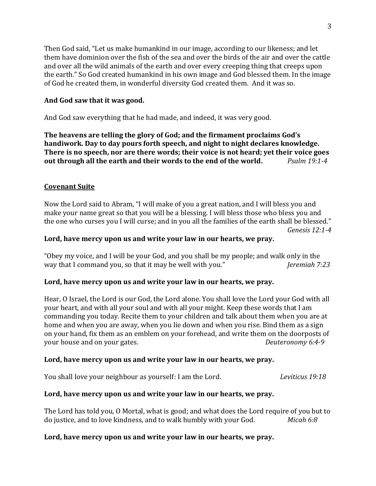Then God said, "Let us make humankind in our image, according to our likeness; and let them have dominion over the fish of the sea and over the birds of the air and over the cattle and over all the wild animals of the earth and over every creeping thing that creeps upon the earth." So God created humankind in his own image and God blessed them. In the image of God he created them, in wonderful diversity God created them. And it was so.

# **And God saw that it was good.**

And God saw everything that he had made, and indeed, it was very good.

**The heavens are telling the glory of God; and the firmament proclaims God's handiwork. Day to day pours forth speech, and night to night declares knowledge. There is no speech, nor are there words; their voice is not heard; yet their voice goes out through all the earth and their words to the end of the world.** *Psalm 19:1-4*

# **Covenant Suite**

Now the Lord said to Abram, "I will make of you a great nation, and I will bless you and make your name great so that you will be a blessing. I will bless those who bless you and the one who curses you I will curse; and in you all the families of the earth shall be blessed." *Genesis 12:1-4*

# **Lord, have mercy upon us and write your law in our hearts, we pray.**

"Obey my voice, and I will be your God, and you shall be my people; and walk only in the way that I command you, so that it may be well with you." *Jeremiah 7:23*

# **Lord, have mercy upon us and write your law in our hearts, we pray.**

Hear, O Israel, the Lord is our God, the Lord alone. You shall love the Lord your God with all your heart, and with all your soul and with all your might. Keep these words that I am commanding you today. Recite them to your children and talk about them when you are at home and when you are away, when you lie down and when you rise. Bind them as a sign on your hand, fix them as an emblem on your forehead, and write them on the doorposts of your house and on your gates. *Deuteronomy 6:4-9*

# **Lord, have mercy upon us and write your law in our hearts, we pray.**

You shall love your neighbour as yourself: I am the Lord. *Leviticus 19:18*

# **Lord, have mercy upon us and write your law in our hearts, we pray.**

The Lord has told you, O Mortal, what is good; and what does the Lord require of you but to do justice, and to love kindness, and to walk humbly with your God. *Micah 6:8*

# **Lord, have mercy upon us and write your law in our hearts, we pray.**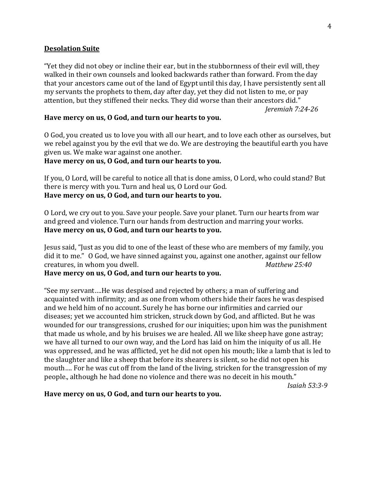## **Desolation Suite**

"Yet they did not obey or incline their ear, but in the stubbornness of their evil will, they walked in their own counsels and looked backwards rather than forward. From the day that your ancestors came out of the land of Egypt until this day, I have persistently sent all my servants the prophets to them, day after day, yet they did not listen to me, or pay attention, but they stiffened their necks. They did worse than their ancestors did."

*Jeremiah 7:24-26*

## **Have mercy on us, O God, and turn our hearts to you.**

O God, you created us to love you with all our heart, and to love each other as ourselves, but we rebel against you by the evil that we do. We are destroying the beautiful earth you have given us. We make war against one another.

## **Have mercy on us, O God, and turn our hearts to you.**

If you, O Lord, will be careful to notice all that is done amiss, O Lord, who could stand? But there is mercy with you. Turn and heal us, O Lord our God. **Have mercy on us, O God, and turn our hearts to you.**

O Lord, we cry out to you. Save your people. Save your planet. Turn our hearts from war and greed and violence. Turn our hands from destruction and marring your works. **Have mercy on us, O God, and turn our hearts to you.**

Jesus said, "Just as you did to one of the least of these who are members of my family, you did it to me." O God, we have sinned against you, against one another, against our fellow creatures, in whom you dwell. *Matthew 25:40*

## **Have mercy on us, O God, and turn our hearts to you.**

"See my servant….He was despised and rejected by others; a man of suffering and acquainted with infirmity; and as one from whom others hide their faces he was despised and we held him of no account. Surely he has borne our infirmities and carried our diseases; yet we accounted him stricken, struck down by God, and afflicted. But he was wounded for our transgressions, crushed for our iniquities; upon him was the punishment that made us whole, and by his bruises we are healed. All we like sheep have gone astray; we have all turned to our own way, and the Lord has laid on him the iniquity of us all. He was oppressed, and he was afflicted, yet he did not open his mouth; like a lamb that is led to the slaughter and like a sheep that before its shearers is silent, so he did not open his mouth…. For he was cut off from the land of the living, stricken for the transgression of my people., although he had done no violence and there was no deceit in his mouth."

*Isaiah 53:3-9*

#### **Have mercy on us, O God, and turn our hearts to you.**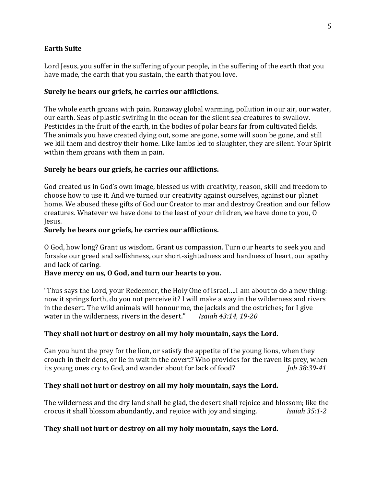## **Earth Suite**

Lord Jesus, you suffer in the suffering of your people, in the suffering of the earth that you have made, the earth that you sustain, the earth that you love.

## **Surely he bears our griefs, he carries our afflictions.**

The whole earth groans with pain. Runaway global warming, pollution in our air, our water, our earth. Seas of plastic swirling in the ocean for the silent sea creatures to swallow. Pesticides in the fruit of the earth, in the bodies of polar bears far from cultivated fields. The animals you have created dying out, some are gone, some will soon be gone, and still we kill them and destroy their home. Like lambs led to slaughter, they are silent. Your Spirit within them groans with them in pain.

## **Surely he bears our griefs, he carries our afflictions.**

God created us in God's own image, blessed us with creativity, reason, skill and freedom to choose how to use it. And we turned our creativity against ourselves, against our planet home. We abused these gifts of God our Creator to mar and destroy Creation and our fellow creatures. Whatever we have done to the least of your children, we have done to you, O Jesus.

## **Surely he bears our griefs, he carries our afflictions.**

O God, how long? Grant us wisdom. Grant us compassion. Turn our hearts to seek you and forsake our greed and selfishness, our short-sightedness and hardness of heart, our apathy and lack of caring.

# **Have mercy on us, O God, and turn our hearts to you.**

"Thus says the Lord, your Redeemer, the Holy One of Israel….I am about to do a new thing: now it springs forth, do you not perceive it? I will make a way in the wilderness and rivers in the desert. The wild animals will honour me, the jackals and the ostriches; for I give water in the wilderness, rivers in the desert." *Isaiah 43:14, 19-20*

# **They shall not hurt or destroy on all my holy mountain, says the Lord.**

Can you hunt the prey for the lion, or satisfy the appetite of the young lions, when they crouch in their dens, or lie in wait in the covert? Who provides for the raven its prey, when its young ones cry to God, and wander about for lack of food? *Job 38:39-41*

## **They shall not hurt or destroy on all my holy mountain, says the Lord.**

The wilderness and the dry land shall be glad, the desert shall rejoice and blossom; like the crocus it shall blossom abundantly, and rejoice with joy and singing. *Isaiah 35:1-2*

# **They shall not hurt or destroy on all my holy mountain, says the Lord.**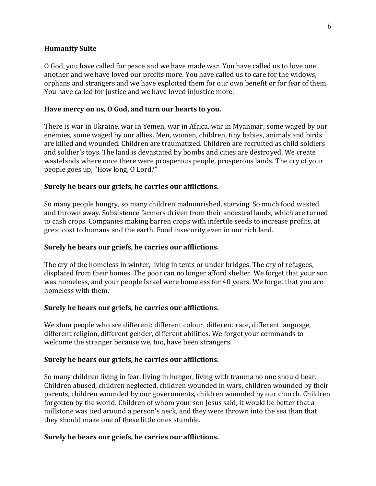## **Humanity Suite**

O God, you have called for peace and we have made war. You have called us to love one another and we have loved our profits more. You have called us to care for the widows, orphans and strangers and we have exploited them for our own benefit or for fear of them. You have called for justice and we have loved injustice more.

## **Have mercy on us, O God, and turn our hearts to you.**

There is war in Ukraine, war in Yemen, war in Africa, war in Myanmar, some waged by our enemies, some waged by our allies. Men, women, children, tiny babies, animals and birds are killed and wounded. Children are traumatized. Children are recruited as child soldiers and soldier's toys. The land is devastated by bombs and cities are destroyed. We create wastelands where once there were prosperous people, prosperous lands. The cry of your people goes up, "How long, O Lord?"

## **Surely he bears our griefs, he carries our afflictions.**

So many people hungry, so many children malnourished, starving. So much food wasted and thrown away. Subsistence farmers driven from their ancestral lands, which are turned to cash crops. Companies making barren crops with infertile seeds to increase profits, at great cost to humans and the earth. Food insecurity even in our rich land.

## **Surely he bears our griefs, he carries our afflictions.**

The cry of the homeless in winter, living in tents or under bridges. The cry of refugees, displaced from their homes. The poor can no longer afford shelter. We forget that your son was homeless, and your people Israel were homeless for 40 years. We forget that you are homeless with them.

## **Surely he bears our griefs, he carries our afflictions.**

We shun people who are different: different colour, different race, different language, different religion, different gender, different abilities. We forget your commands to welcome the stranger because we, too, have been strangers.

# **Surely he bears our griefs, he carries our afflictions.**

So many children living in fear, living in hunger, living with trauma no one should bear. Children abused, children neglected, children wounded in wars, children wounded by their parents, children wounded by our governments, children wounded by our church. Children forgotten by the world. Children of whom your son Jesus said, it would be better that a millstone was tied around a person's neck, and they were thrown into the sea than that they should make one of these little ones stumble.

# **Surely he bears our griefs, he carries our afflictions.**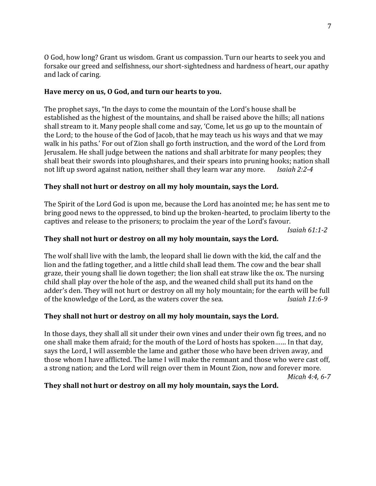O God, how long? Grant us wisdom. Grant us compassion. Turn our hearts to seek you and forsake our greed and selfishness, our short-sightedness and hardness of heart, our apathy and lack of caring.

# **Have mercy on us, O God, and turn our hearts to you.**

The prophet says, "In the days to come the mountain of the Lord's house shall be established as the highest of the mountains, and shall be raised above the hills; all nations shall stream to it. Many people shall come and say, 'Come, let us go up to the mountain of the Lord; to the house of the God of Jacob, that he may teach us his ways and that we may walk in his paths.' For out of Zion shall go forth instruction, and the word of the Lord from Jerusalem. He shall judge between the nations and shall arbitrate for many peoples; they shall beat their swords into ploughshares, and their spears into pruning hooks; nation shall not lift up sword against nation, neither shall they learn war any more. *Isaiah 2:2-4*

# **They shall not hurt or destroy on all my holy mountain, says the Lord.**

The Spirit of the Lord God is upon me, because the Lord has anointed me; he has sent me to bring good news to the oppressed, to bind up the broken-hearted, to proclaim liberty to the captives and release to the prisoners; to proclaim the year of the Lord's favour.

*Isaiah 61:1-2*

# **They shall not hurt or destroy on all my holy mountain, says the Lord.**

The wolf shall live with the lamb, the leopard shall lie down with the kid, the calf and the lion and the fatling together, and a little child shall lead them. The cow and the bear shall graze, their young shall lie down together; the lion shall eat straw like the ox. The nursing child shall play over the hole of the asp, and the weaned child shall put its hand on the adder's den. They will not hurt or destroy on all my holy mountain; for the earth will be full of the knowledge of the Lord, as the waters cover the sea. *Isaiah 11:6-9*

# **They shall not hurt or destroy on all my holy mountain, says the Lord.**

In those days, they shall all sit under their own vines and under their own fig trees, and no one shall make them afraid; for the mouth of the Lord of hosts has spoken…… In that day, says the Lord, I will assemble the lame and gather those who have been driven away, and those whom I have afflicted. The lame I will make the remnant and those who were cast off, a strong nation; and the Lord will reign over them in Mount Zion, now and forever more. *Micah 4:4, 6-7*

# **They shall not hurt or destroy on all my holy mountain, says the Lord.**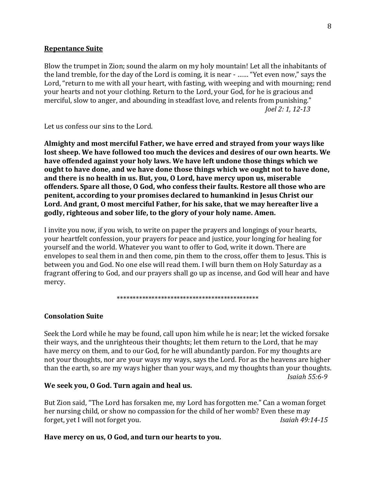#### **Repentance Suite**

Blow the trumpet in Zion; sound the alarm on my holy mountain! Let all the inhabitants of the land tremble, for the day of the Lord is coming, it is near - …… "Yet even now," says the Lord, "return to me with all your heart, with fasting, with weeping and with mourning; rend your hearts and not your clothing. Return to the Lord, your God, for he is gracious and merciful, slow to anger, and abounding in steadfast love, and relents from punishing." *Joel 2: 1, 12-13*

Let us confess our sins to the Lord.

**Almighty and most merciful Father, we have erred and strayed from your ways like lost sheep. We have followed too much the devices and desires of our own hearts. We have offended against your holy laws. We have left undone those things which we ought to have done, and we have done those things which we ought not to have done, and there is no health in us. But, you, O Lord, have mercy upon us, miserable offenders. Spare all those, O God, who confess their faults. Restore all those who are penitent, according to your promises declared to humankind in Jesus Christ our Lord. And grant, O most merciful Father, for his sake, that we may hereafter live a godly, righteous and sober life, to the glory of your holy name. Amen.**

I invite you now, if you wish, to write on paper the prayers and longings of your hearts, your heartfelt confession, your prayers for peace and justice, your longing for healing for yourself and the world. Whatever you want to offer to God, write it down. There are envelopes to seal them in and then come, pin them to the cross, offer them to Jesus. This is between you and God. No one else will read them. I will burn them on Holy Saturday as a fragrant offering to God, and our prayers shall go up as incense, and God will hear and have mercy.

\*\*\*\*\*\*\*\*\*\*\*\*\*\*\*\*\*\*\*\*\*\*\*\*\*\*\*\*\*\*\*\*\*\*\*\*\*\*\*\*\*\*\*\*\*

## **Consolation Suite**

Seek the Lord while he may be found, call upon him while he is near; let the wicked forsake their ways, and the unrighteous their thoughts; let them return to the Lord, that he may have mercy on them, and to our God, for he will abundantly pardon. For my thoughts are not your thoughts, nor are your ways my ways, says the Lord. For as the heavens are higher than the earth, so are my ways higher than your ways, and my thoughts than your thoughts. *Isaiah 55:6-9*

#### **We seek you, O God. Turn again and heal us.**

But Zion said, "The Lord has forsaken me, my Lord has forgotten me." Can a woman forget her nursing child, or show no compassion for the child of her womb? Even these may forget, yet I will not forget you. *Isaiah 49:14-15*

## **Have mercy on us, O God, and turn our hearts to you.**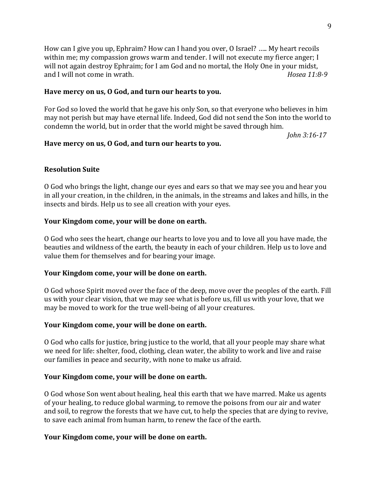How can I give you up, Ephraim? How can I hand you over, O Israel? ….. My heart recoils within me; my compassion grows warm and tender. I will not execute my fierce anger; I will not again destroy Ephraim; for I am God and no mortal, the Holy One in your midst, and I will not come in wrath. *Hosea 11:8-9* 

## **Have mercy on us, O God, and turn our hearts to you.**

For God so loved the world that he gave his only Son, so that everyone who believes in him may not perish but may have eternal life. Indeed, God did not send the Son into the world to condemn the world, but in order that the world might be saved through him.

*John 3:16-17*

## **Have mercy on us, O God, and turn our hearts to you.**

## **Resolution Suite**

O God who brings the light, change our eyes and ears so that we may see you and hear you in all your creation, in the children, in the animals, in the streams and lakes and hills, in the insects and birds. Help us to see all creation with your eyes.

## **Your Kingdom come, your will be done on earth.**

O God who sees the heart, change our hearts to love you and to love all you have made, the beauties and wildness of the earth, the beauty in each of your children. Help us to love and value them for themselves and for bearing your image.

#### **Your Kingdom come, your will be done on earth.**

O God whose Spirit moved over the face of the deep, move over the peoples of the earth. Fill us with your clear vision, that we may see what is before us, fill us with your love, that we may be moved to work for the true well-being of all your creatures.

#### **Your Kingdom come, your will be done on earth.**

O God who calls for justice, bring justice to the world, that all your people may share what we need for life: shelter, food, clothing, clean water, the ability to work and live and raise our families in peace and security, with none to make us afraid.

#### **Your Kingdom come, your will be done on earth.**

O God whose Son went about healing, heal this earth that we have marred. Make us agents of your healing, to reduce global warming, to remove the poisons from our air and water and soil, to regrow the forests that we have cut, to help the species that are dying to revive, to save each animal from human harm, to renew the face of the earth.

#### **Your Kingdom come, your will be done on earth.**